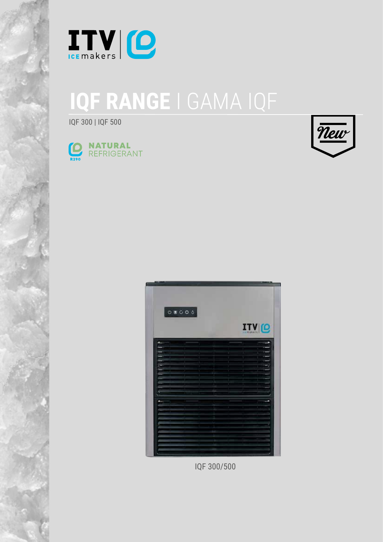

## **IQF RANGE** I GAMA IQF

IQF 300 | IQF 500





|  |  |  | <b>ITV</b> <sub>I</sub> O |
|--|--|--|---------------------------|
|  |  |  |                           |
|  |  |  |                           |
|  |  |  |                           |
|  |  |  |                           |
|  |  |  |                           |
|  |  |  |                           |
|  |  |  |                           |
|  |  |  |                           |
|  |  |  |                           |
|  |  |  |                           |
|  |  |  |                           |
|  |  |  |                           |
|  |  |  |                           |
|  |  |  |                           |
|  |  |  |                           |
|  |  |  |                           |
|  |  |  |                           |
|  |  |  |                           |
|  |  |  |                           |
|  |  |  |                           |
|  |  |  |                           |
|  |  |  |                           |
|  |  |  |                           |
|  |  |  |                           |

IQF 300/500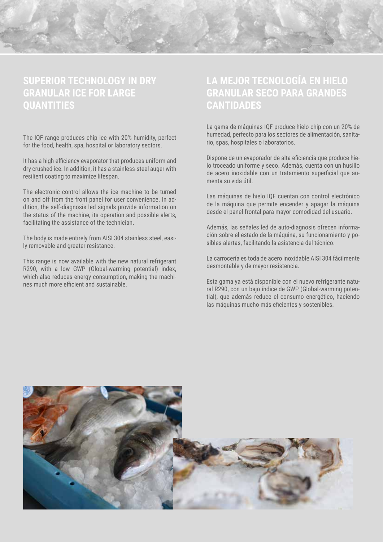

## **SUPERIOR TECHNOLOGY IN DRY GRANULAR ICE FOR LARGE QUANTITIES**

The IQF range produces chip ice with 20% humidity, perfect for the food, health, spa, hospital or laboratory sectors.

It has a high efficiency evaporator that produces uniform and dry crushed ice. In addition, it has a stainless-steel auger with resilient coating to maximize lifespan.

The electronic control allows the ice machine to be turned on and off from the front panel for user convenience. In addition, the self-diagnosis led signals provide information on the status of the machine, its operation and possible alerts, facilitating the assistance of the technician.

The body is made entirely from AISI 304 stainless steel, easily removable and greater resistance.

This range is now available with the new natural refrigerant R290, with a low GWP (Global-warming potential) index, which also reduces energy consumption, making the machines much more efficient and sustainable.

## **LA MEJOR TECNOLOGÍA EN HIELO GRANULAR SECO PARA GRANDES CANTIDADES**

La gama de máquinas IQF produce hielo chip con un 20% de humedad, perfecto para los sectores de alimentación, sanitario, spas, hospitales o laboratorios.

Dispone de un evaporador de alta eficiencia que produce hielo troceado uniforme y seco. Además, cuenta con un husillo de acero inoxidable con un tratamiento superficial que aumenta su vida útil.

Las máquinas de hielo IQF cuentan con control electrónico de la máquina que permite encender y apagar la máquina desde el panel frontal para mayor comodidad del usuario.

Además, las señales led de auto-diagnosis ofrecen información sobre el estado de la máquina, su funcionamiento y posibles alertas, facilitando la asistencia del técnico.

La carrocería es toda de acero inoxidable AISI 304 fácilmente desmontable y de mayor resistencia.

Esta gama ya está disponible con el nuevo refrigerante natural R290, con un bajo índice de GWP (Global-warming potential), que además reduce el consumo energético, haciendo las máquinas mucho más eficientes y sostenibles.